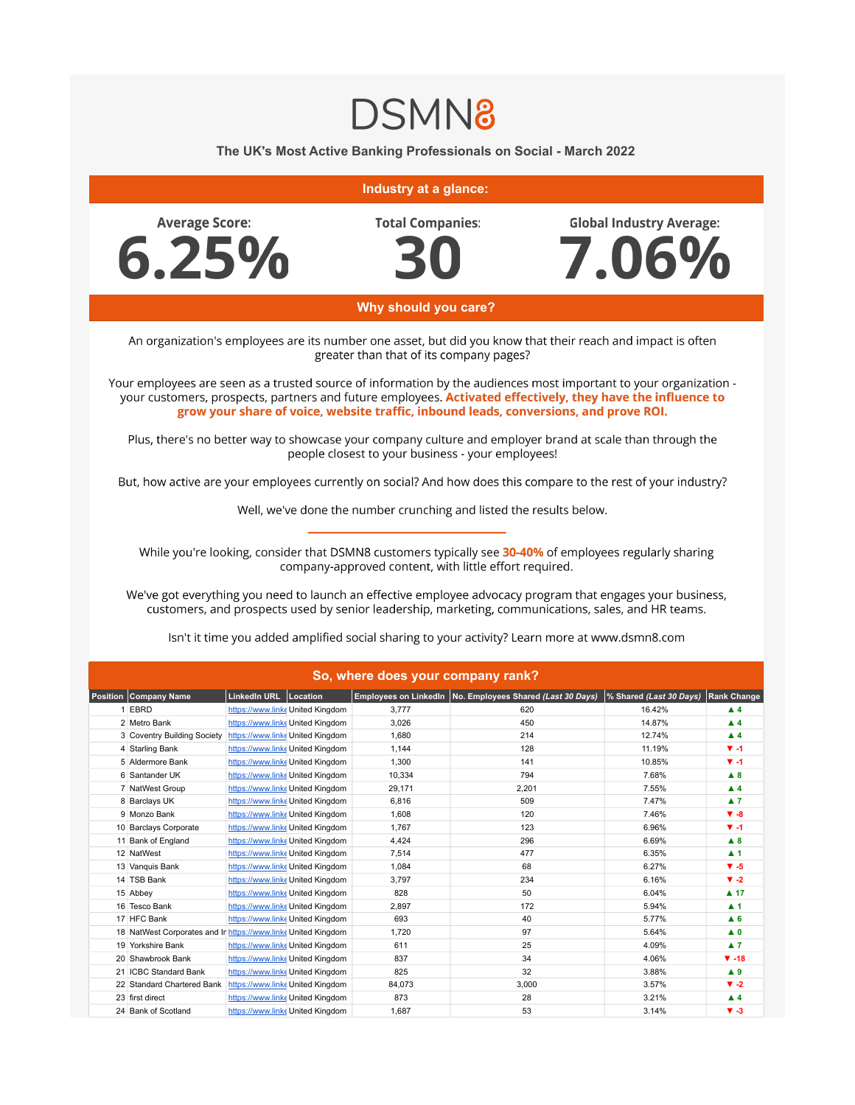## **DSMN8**

The UK's Most Active Banking Professionals on Social - March 2022

## Industry at a glance:

**Average Score:**  $6.25%$  **Total Companies:** 

**Global Industry Average:** 



7.06%

Why should you care?

An organization's employees are its number one asset, but did you know that their reach and impact is often greater than that of its company pages?

Your employees are seen as a trusted source of information by the audiences most important to your organization your customers, prospects, partners and future employees. Activated effectively, they have the influence to grow your share of voice, website traffic, inbound leads, conversions, and prove ROI.

Plus, there's no better way to showcase your company culture and employer brand at scale than through the people closest to your business - your employees!

But, how active are your employees currently on social? And how does this compare to the rest of your industry?

Well, we've done the number crunching and listed the results below.

While you're looking, consider that DSMN8 customers typically see 30-40% of employees regularly sharing company-approved content, with little effort required.

We've got everything you need to launch an effective employee advocacy program that engages your business, customers, and prospects used by senior leadership, marketing, communications, sales, and HR teams.

| So, where does your company rank? |                                                               |                       |                                  |        |                                                             |                         |                     |  |  |  |  |
|-----------------------------------|---------------------------------------------------------------|-----------------------|----------------------------------|--------|-------------------------------------------------------------|-------------------------|---------------------|--|--|--|--|
|                                   | <b>Position   Company Name</b>                                | LinkedIn URL Location |                                  |        | Employees on LinkedIn   No. Employees Shared (Last 30 Days) | % Shared (Last 30 Days) | <b>Rank Change</b>  |  |  |  |  |
|                                   | 1 EBRD                                                        |                       | https://www.linkeUnited Kingdom  | 3.777  | 620                                                         | 16.42%                  | $\blacktriangle$ 4  |  |  |  |  |
|                                   | 2 Metro Bank                                                  |                       | https://www.linke United Kingdom | 3,026  | 450                                                         | 14.87%                  | $\blacktriangle$ 4  |  |  |  |  |
|                                   | 3 Coventry Building Society                                   |                       | https://www.linke United Kingdom | 1,680  | 214                                                         | 12.74%                  | $\blacktriangle$ 4  |  |  |  |  |
|                                   | 4 Starling Bank                                               |                       | https://www.linke United Kingdom | 1,144  | 128                                                         | 11.19%                  | $V - 1$             |  |  |  |  |
|                                   | 5 Aldermore Bank                                              |                       | https://www.linke United Kingdom | 1,300  | 141                                                         | 10.85%                  | $V - 1$             |  |  |  |  |
|                                   | 6 Santander UK                                                |                       | https://www.linke United Kingdom | 10,334 | 794                                                         | 7.68%                   | A8                  |  |  |  |  |
|                                   | 7 NatWest Group                                               |                       | https://www.linke United Kingdom | 29,171 | 2,201                                                       | 7.55%                   | $\blacktriangle$ 4  |  |  |  |  |
|                                   | 8 Barclays UK                                                 |                       | https://www.linke United Kingdom | 6,816  | 509                                                         | 7.47%                   | $\blacktriangle$ 7  |  |  |  |  |
|                                   | 9 Monzo Bank                                                  |                       | https://www.linke United Kingdom | 1,608  | 120                                                         | 7.46%                   | $\Psi - 8$          |  |  |  |  |
|                                   | 10 Barclays Corporate                                         |                       | https://www.linke United Kingdom | 1.767  | 123                                                         | 6.96%                   | $V - 1$             |  |  |  |  |
|                                   | 11 Bank of England                                            |                       | https://www.linke United Kingdom | 4,424  | 296                                                         | 6.69%                   | A8                  |  |  |  |  |
|                                   | 12 NatWest                                                    |                       | https://www.linke United Kingdom | 7,514  | 477                                                         | 6.35%                   | $\blacktriangle$ 1  |  |  |  |  |
|                                   | 13 Vanquis Bank                                               |                       | https://www.linke United Kingdom | 1,084  | 68                                                          | 6.27%                   | $V - 5$             |  |  |  |  |
|                                   | 14 TSB Bank                                                   |                       | https://www.linke United Kingdom | 3,797  | 234                                                         | 6.16%                   | $\Psi -2$           |  |  |  |  |
|                                   | 15 Abbey                                                      |                       | https://www.linke United Kingdom | 828    | 50                                                          | 6.04%                   | $\blacktriangle$ 17 |  |  |  |  |
|                                   | 16 Tesco Bank                                                 |                       | https://www.linke United Kingdom | 2,897  | 172                                                         | 5.94%                   | $\blacktriangle$ 1  |  |  |  |  |
|                                   | 17 HFC Bank                                                   |                       | https://www.linke United Kingdom | 693    | 40                                                          | 5.77%                   | A <sub>6</sub>      |  |  |  |  |
|                                   | 18 NatWest Corporates and Ir https://www.linke United Kingdom |                       |                                  | 1,720  | 97                                                          | 5.64%                   | $\blacktriangle$ 0  |  |  |  |  |
|                                   | 19 Yorkshire Bank                                             |                       | https://www.linke United Kingdom | 611    | 25                                                          | 4.09%                   | $\blacktriangle$ 7  |  |  |  |  |
|                                   | 20 Shawbrook Bank                                             |                       | https://www.linke United Kingdom | 837    | 34                                                          | 4.06%                   | $\Psi - 18$         |  |  |  |  |
|                                   | 21 ICBC Standard Bank                                         |                       | https://www.linke United Kingdom | 825    | 32                                                          | 3.88%                   | $\blacktriangle$ 9  |  |  |  |  |
|                                   | 22 Standard Chartered Bank                                    |                       | https://www.linke United Kingdom | 84,073 | 3,000                                                       | 3.57%                   | $\Psi -2$           |  |  |  |  |
|                                   | 23 first direct                                               |                       | https://www.linke United Kingdom | 873    | 28                                                          | 3.21%                   | $\blacktriangle$ 4  |  |  |  |  |
|                                   | 24 Bank of Scotland                                           |                       | https://www.linke United Kingdom | 1,687  | 53                                                          | 3.14%                   | $V - 3$             |  |  |  |  |

Isn't it time you added amplified social sharing to your activity? Learn more at www.dsmn8.com